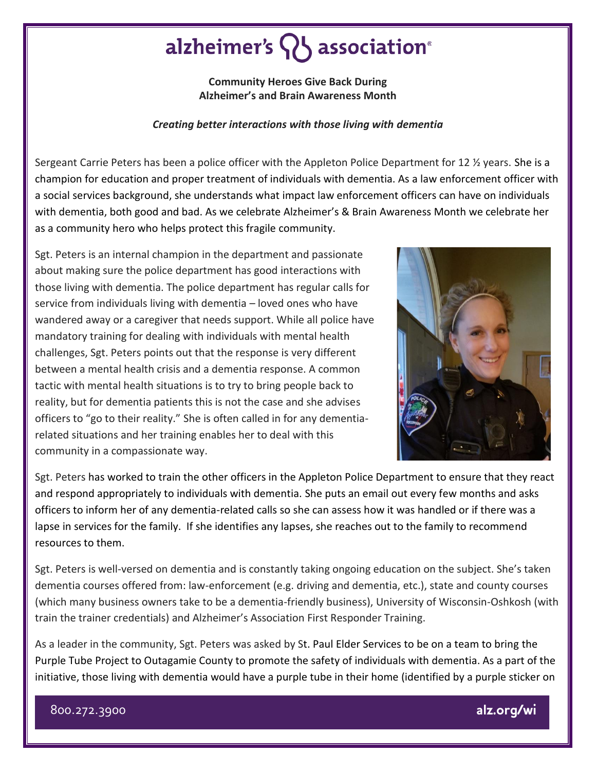## alzheimer's  $\{ \}$  association<sup>®</sup>

**Community Heroes Give Back During Alzheimer's and Brain Awareness Month**

## *Creating better interactions with those living with dementia*

Sergeant Carrie Peters has been a police officer with the Appleton Police Department for 12 ½ years. She is a champion for education and proper treatment of individuals with dementia. As a law enforcement officer with a social services background, she understands what impact law enforcement officers can have on individuals with dementia, both good and bad. As we celebrate Alzheimer's & Brain Awareness Month we celebrate her as a community hero who helps protect this fragile community.

Sgt. Peters is an internal champion in the department and passionate about making sure the police department has good interactions with those living with dementia. The police department has regular calls for service from individuals living with dementia – loved ones who have wandered away or a caregiver that needs support. While all police have mandatory training for dealing with individuals with mental health challenges, Sgt. Peters points out that the response is very different between a mental health crisis and a dementia response. A common tactic with mental health situations is to try to bring people back to reality, but for dementia patients this is not the case and she advises officers to "go to their reality." She is often called in for any dementiarelated situations and her training enables her to deal with this community in a compassionate way.



Sgt. Peters has worked to train the other officers in the Appleton Police Department to ensure that they react and respond appropriately to individuals with dementia. She puts an email out every few months and asks officers to inform her of any dementia-related calls so she can assess how it was handled or if there was a lapse in services for the family. If she identifies any lapses, she reaches out to the family to recommend resources to them.

Sgt. Peters is well-versed on dementia and is constantly taking ongoing education on the subject. She's taken dementia courses offered from: law-enforcement (e.g. driving and dementia, etc.), state and county courses (which many business owners take to be a dementia-friendly business), University of Wisconsin-Oshkosh (with train the trainer credentials) and Alzheimer's Association First Responder Training.

As a leader in the community, Sgt. Peters was asked by St. Paul Elder Services to be on a team to bring the Purple Tube Project to Outagamie County to promote the safety of individuals with dementia. As a part of the initiative, those living with dementia would have a purple tube in their home (identified by a purple sticker on

800.272.3900